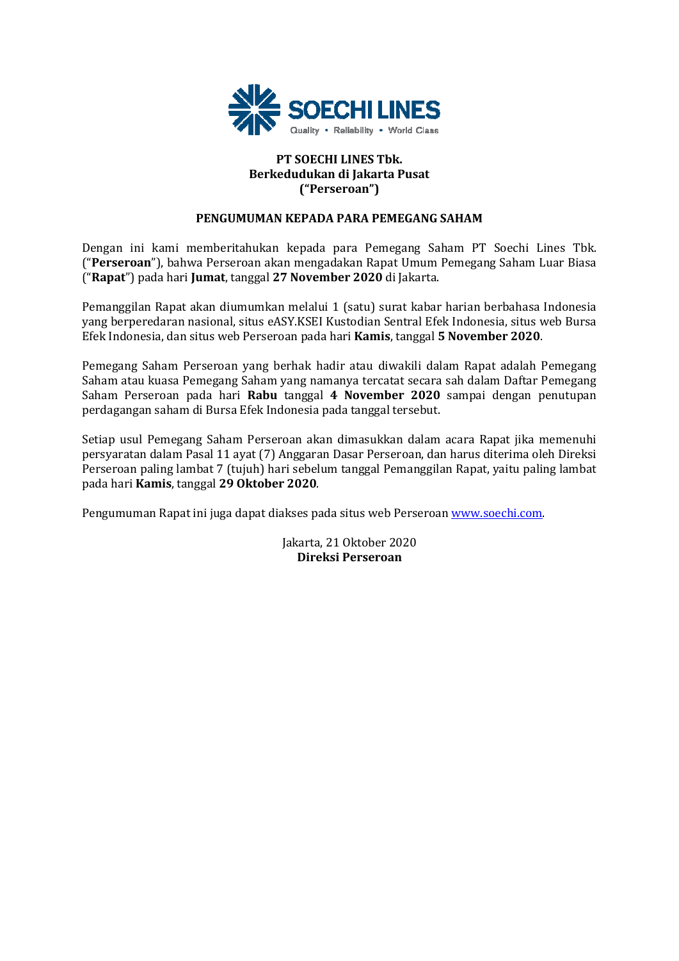

## **PT SOECHI LINES Tbk. Berkedudukan di Jakarta Pusat ("Perseroan")**

## **PENGUMUMAN KEPADA PARA PEMEGANG SAHAM**

Dengan ini kami memberitahukan kepada para Pemegang Saham PT Soechi Lines Tbk. ("**Perseroan**"), bahwa Perseroan akan mengadakan Rapat Umum Pemegang Saham Luar Biasa ("**Rapat**") pada hari **Jumat**, tanggal **27 November 2020** di Jakarta.

Pemanggilan Rapat akan diumumkan melalui 1 (satu) surat kabar harian berbahasa Indonesia yang berperedaran nasional, situs eASY.KSEI Kustodian Sentral Efek Indonesia, situs web Bursa Efek Indonesia, dan situs web Perseroan pada hari **Kamis**, tanggal **5 November 2020**.

Pemegang Saham Perseroan yang berhak hadir atau diwakili dalam Rapat adalah Pemegang Saham atau kuasa Pemegang Saham yang namanya tercatat secara sah dalam Daftar Pemegang Saham Perseroan pada hari **Rabu** tanggal **4 November 2020** sampai dengan penutupan perdagangan saham di Bursa Efek Indonesia pada tanggal tersebut.

Setiap usul Pemegang Saham Perseroan akan dimasukkan dalam acara Rapat jika memenuhi persyaratan dalam Pasal 11 ayat (7) Anggaran Dasar Perseroan, dan harus diterima oleh Direksi Perseroan paling lambat 7 (tujuh) hari sebelum tanggal Pemanggilan Rapat, yaitu paling lambat pada hari **Kamis**, tanggal **29 Oktober 2020**.

Pengumuman Rapat ini juga dapat diakses pada situs web Perseroan www.soechi.com.

Jakarta, 21 Oktober 2020 **Direksi Perseroan**